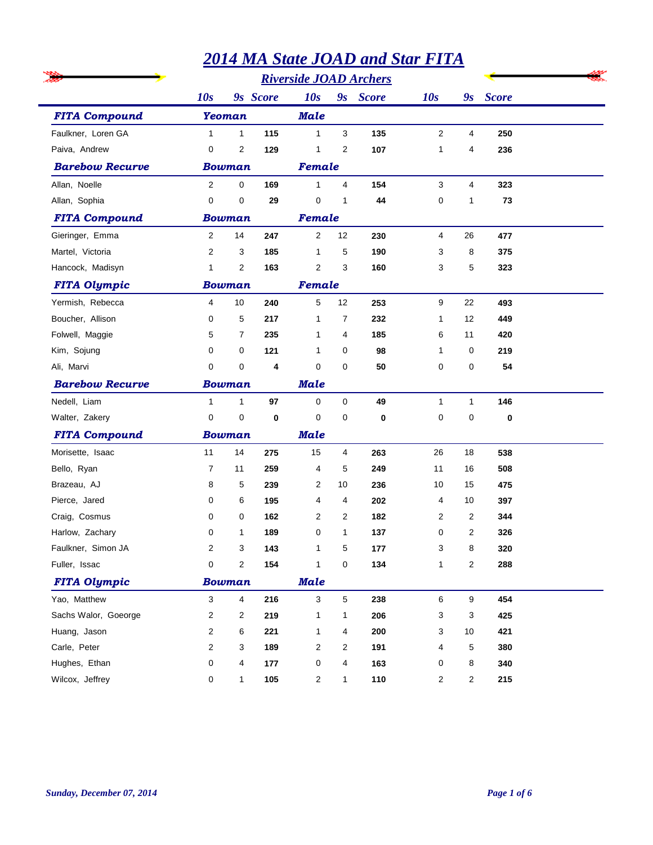|                        |                |                |          |                |                | <b>2014 MA State JOAD and Star FITA</b> |              |              |              |  |
|------------------------|----------------|----------------|----------|----------------|----------------|-----------------------------------------|--------------|--------------|--------------|--|
|                        |                |                |          |                |                |                                         |              |              |              |  |
|                        | 10s            |                | 9s Score | 10s            |                | 9s Score                                | 10s          | 9s           | <b>Score</b> |  |
| <b>FITA Compound</b>   |                | <b>Yeoman</b>  |          | <b>Male</b>    |                |                                         |              |              |              |  |
| Faulkner, Loren GA     | $\mathbf{1}$   | $\mathbf{1}$   | 115      | $\mathbf{1}$   | 3              | 135                                     | $\mathbf{2}$ | 4            | 250          |  |
| Paiva, Andrew          | 0              | $\overline{2}$ | 129      | 1              | $\overline{2}$ | 107                                     | $\mathbf{1}$ | 4            | 236          |  |
| <b>Barebow Recurve</b> |                | <b>Bowman</b>  |          | Female         |                |                                         |              |              |              |  |
| Allan, Noelle          | $\overline{2}$ | 0              | 169      | $\mathbf{1}$   | 4              | 154                                     | 3            | 4            | 323          |  |
| Allan, Sophia          | $\mathbf 0$    | 0              | 29       | $\mathbf 0$    | 1              | 44                                      | 0            | 1            | 73           |  |
| <b>FITA Compound</b>   |                | <b>Bowman</b>  |          | Female         |                |                                         |              |              |              |  |
| Gieringer, Emma        | $\overline{2}$ | 14             | 247      | 2              | 12             | 230                                     | 4            | 26           | 477          |  |
| Martel, Victoria       | $\overline{2}$ | 3              | 185      | 1              | 5              | 190                                     | 3            | 8            | 375          |  |
| Hancock, Madisyn       | $\mathbf 1$    | 2              | 163      | $\overline{2}$ | 3              | 160                                     | 3            | 5            | 323          |  |
| <b>FITA Olympic</b>    |                | <b>Bowman</b>  |          | Female         |                |                                         |              |              |              |  |
| Yermish, Rebecca       | 4              | 10             | 240      | 5              | 12             | 253                                     | 9            | 22           | 493          |  |
| Boucher, Allison       | 0              | 5              | 217      | 1              | $\overline{7}$ | 232                                     | 1            | 12           | 449          |  |
| Folwell, Maggie        | 5              | 7              | 235      | 1              | 4              | 185                                     | 6            | 11           | 420          |  |
| Kim, Sojung            | 0              | 0              | 121      | 1              | 0              | 98                                      | 1            | 0            | 219          |  |
| Ali, Marvi             | 0              | 0              | 4        | 0              | $\mathbf 0$    | 50                                      | 0            | 0            | 54           |  |
| <b>Barebow Recurve</b> |                | <b>Bowman</b>  |          | <b>Male</b>    |                |                                         |              |              |              |  |
| Nedell, Liam           | $\mathbf{1}$   | $\mathbf{1}$   | 97       | $\mathbf 0$    | $\mathbf 0$    | 49                                      | 1            | $\mathbf{1}$ | 146          |  |
| Walter, Zakery         | 0              | 0              | 0        | $\mathbf 0$    | $\mathbf 0$    | 0                                       | 0            | 0            | 0            |  |
| <b>FITA Compound</b>   |                | <b>Bowman</b>  |          | <b>Male</b>    |                |                                         |              |              |              |  |
| Morisette, Isaac       | 11             | 14             | 275      | 15             | 4              | 263                                     | 26           | 18           | 538          |  |
| Bello, Ryan            | 7              | 11             | 259      | 4              | 5              | 249                                     | 11           | 16           | 508          |  |
| Brazeau, AJ            | 8              | 5              | 239      | 2              | 10             | 236                                     | 10           | 15           | 475          |  |
| Pierce, Jared          | 0              | 6              | 195      | 4              | 4              | 202                                     | 4            | 10           | 397          |  |
| Craig, Cosmus          | 0              | 0              | 162      | 2              | 2              | 182                                     | 2            | 2            | 344          |  |
| Harlow, Zachary        | 0              | 1              | 189      | 0              | 1              | 137                                     | 0            | 2            | 326          |  |
| Faulkner, Simon JA     | 2              | 3              | 143      | 1              | 5              | 177                                     | 3            | 8            | 320          |  |
| Fuller, Issac          | 0              | $\overline{c}$ | 154      | $\mathbf{1}$   | $\mathbf 0$    | 134                                     | 1            | 2            | 288          |  |
| <b>FITA Olympic</b>    |                | <b>Bowman</b>  |          | <b>Male</b>    |                |                                         |              |              |              |  |
| Yao, Matthew           | 3              | $\overline{4}$ | 216      | 3              | $\sqrt{5}$     | 238                                     | 6            | 9            | 454          |  |
| Sachs Walor, Goeorge   | 2              | 2              | 219      | 1              | 1              | 206                                     | 3            | 3            | 425          |  |
| Huang, Jason           | 2              | 6              | 221      | 1              | 4              | 200                                     | 3            | 10           | 421          |  |
| Carle, Peter           | 2              | 3              | 189      | $\overline{c}$ | $\overline{2}$ | 191                                     | 4            | 5            | 380          |  |
| Hughes, Ethan          | 0              | 4              | 177      | 0              | 4              | 163                                     | 0            | 8            | 340          |  |
| Wilcox, Jeffrey        | 0              | $\mathbf{1}$   | 105      | 2              | 1              | 110                                     | 2            | 2            | 215          |  |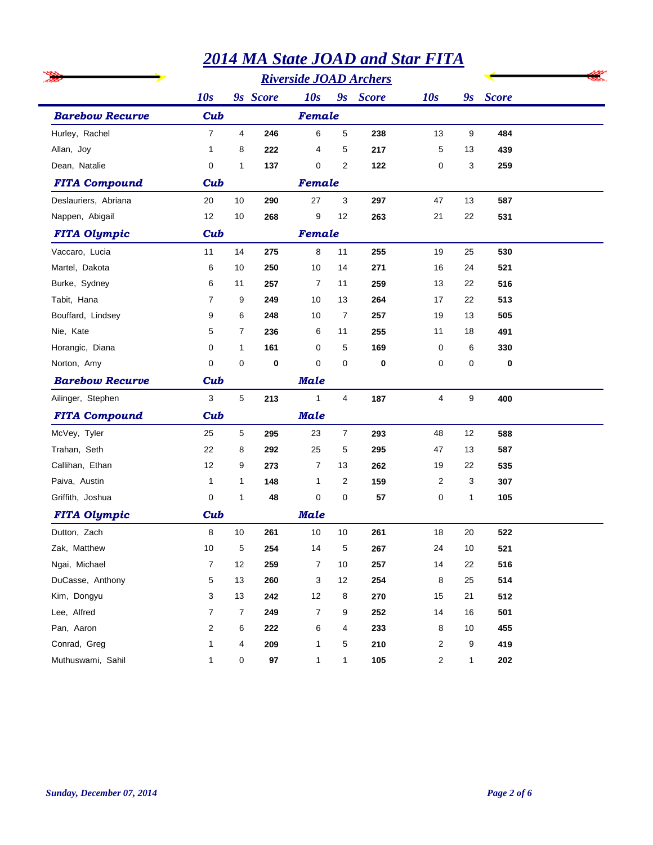|                        |                |                |          |                |                | <b>2014 MA State JOAD and Star FITA</b> |                |              |              |  |
|------------------------|----------------|----------------|----------|----------------|----------------|-----------------------------------------|----------------|--------------|--------------|--|
|                        |                |                |          |                |                |                                         |                |              |              |  |
|                        | 10s            |                | 9s Score | 10s            |                | 9s Score                                | 10s            | 9s           | <b>Score</b> |  |
| <b>Barebow Recurve</b> | Cub            |                |          | Female         |                |                                         |                |              |              |  |
| Hurley, Rachel         | $\overline{7}$ | $\overline{4}$ | 246      | 6              | $\overline{5}$ | 238                                     | 13             | 9            | 484          |  |
| Allan, Joy             | 1              | 8              | 222      | 4              | 5              | 217                                     | 5              | 13           | 439          |  |
| Dean, Natalie          | 0              | 1              | 137      | 0              | $\overline{2}$ | 122                                     | 0              | 3            | 259          |  |
| <b>FITA Compound</b>   | Cub            |                |          | Female         |                |                                         |                |              |              |  |
| Deslauriers, Abriana   | 20             | 10             | 290      | 27             | 3              | 297                                     | 47             | 13           | 587          |  |
| Nappen, Abigail        | 12             | 10             | 268      | 9              | 12             | 263                                     | 21             | 22           | 531          |  |
| <b>FITA Olympic</b>    | Cub            |                |          | Female         |                |                                         |                |              |              |  |
| Vaccaro, Lucia         | 11             | 14             | 275      | 8              | 11             | 255                                     | 19             | 25           | 530          |  |
| Martel, Dakota         | 6              | 10             | 250      | 10             | 14             | 271                                     | 16             | 24           | 521          |  |
| Burke, Sydney          | 6              | 11             | 257      | 7              | 11             | 259                                     | 13             | 22           | 516          |  |
| Tabit, Hana            | 7              | 9              | 249      | 10             | 13             | 264                                     | 17             | 22           | 513          |  |
| Bouffard, Lindsey      | 9              | 6              | 248      | 10             | 7              | 257                                     | 19             | 13           | 505          |  |
| Nie, Kate              | 5              | 7              | 236      | 6              | 11             | 255                                     | 11             | 18           | 491          |  |
| Horangic, Diana        | 0              | $\mathbf{1}$   | 161      | 0              | 5              | 169                                     | 0              | 6            | 330          |  |
| Norton, Amy            | 0              | 0              | 0        | 0              | 0              | $\bf{0}$                                | 0              | 0            | 0            |  |
| <b>Barebow Recurve</b> | Cub            |                |          | Male           |                |                                         |                |              |              |  |
| Ailinger, Stephen      | 3              | 5              | 213      | $\mathbf{1}$   | $\overline{4}$ | 187                                     | $\overline{4}$ | 9            | 400          |  |
| <b>FITA Compound</b>   | Cub            |                |          | <b>Male</b>    |                |                                         |                |              |              |  |
| McVey, Tyler           | 25             | 5              | 295      | 23             | $\overline{7}$ | 293                                     | 48             | 12           | 588          |  |
| Trahan, Seth           | 22             | 8              | 292      | 25             | 5              | 295                                     | 47             | 13           | 587          |  |
| Callihan, Ethan        | 12             | 9              | 273      | $\overline{7}$ | 13             | 262                                     | 19             | 22           | 535          |  |
| Paiva, Austin          | 1              | 1              | 148      | 1              | 2              | 159                                     | 2              | 3            | 307          |  |
| Griffith, Joshua       | 0              | 1              | 48       | 0              | 0              | 57                                      | 0              | $\mathbf{1}$ | 105          |  |
| <b>FITA Olympic</b>    | Cub            |                |          | <b>Male</b>    |                |                                         |                |              |              |  |
| Dutton, Zach           | 8              | $10$           | 261      | 10             | $10\,$         | 261                                     | 18             | $20\,$       | 522          |  |
| Zak, Matthew           | 10             | 5              | 254      | 14             | 5              | 267                                     | 24             | 10           | 521          |  |
| Ngai, Michael          | 7              | 12             | 259      | 7              | 10             | 257                                     | 14             | 22           | 516          |  |
| DuCasse, Anthony       | 5              | 13             | 260      | 3              | 12             | 254                                     | 8              | 25           | 514          |  |
| Kim, Dongyu            | 3              | 13             | 242      | 12             | 8              | 270                                     | 15             | 21           | 512          |  |
| Lee, Alfred            | 7              | 7              | 249      | 7              | 9              | 252                                     | 14             | 16           | 501          |  |
| Pan, Aaron             | 2              | 6              | 222      | 6              | 4              | 233                                     | 8              | 10           | 455          |  |
| Conrad, Greg           | 1              | 4              | 209      | 1              | 5              | 210                                     | 2              | 9            | 419          |  |
| Muthuswami, Sahil      | 1              | 0              | 97       | 1              | 1              | 105                                     | $\overline{a}$ | $\mathbf{1}$ | 202          |  |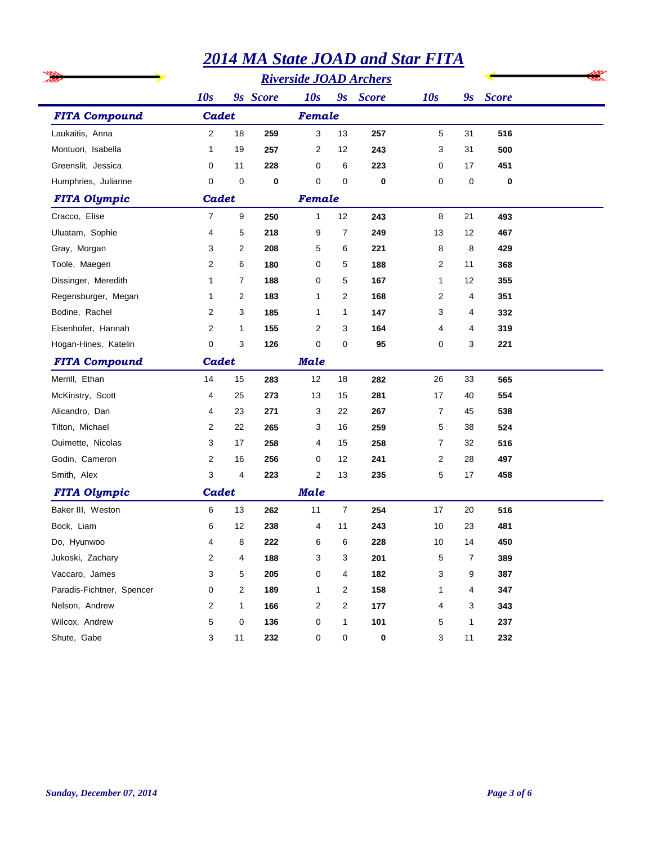|                           |                |              |          |                |                | <b>2014 MA State JOAD and Star FITA</b> |                 |                         |              |  |
|---------------------------|----------------|--------------|----------|----------------|----------------|-----------------------------------------|-----------------|-------------------------|--------------|--|
|                           |                |              |          |                |                |                                         |                 |                         |              |  |
|                           | 10s            |              | 9s Score | 10s            |                | 9s Score                                | 10s             | $\mathbf{g}_\mathbf{S}$ | <b>Score</b> |  |
| <b>FITA Compound</b>      | Cadet          |              |          | Female         |                |                                         |                 |                         |              |  |
| Laukaitis, Anna           | $\overline{2}$ | 18           | 259      | 3              | 13             | 257                                     | 5               | 31                      | 516          |  |
| Montuori, Isabella        | $\mathbf{1}$   | 19           | 257      | 2              | 12             | 243                                     | 3               | 31                      | 500          |  |
| Greenslit, Jessica        | 0              | 11           | 228      | 0              | 6              | 223                                     | 0               | 17                      | 451          |  |
| Humphries, Julianne       | 0              | 0            | 0        | 0              | $\mathbf 0$    | $\mathbf 0$                             | 0               | 0                       | 0            |  |
| <b>FITA Olympic</b>       | Cadet          |              |          | Female         |                |                                         |                 |                         |              |  |
| Cracco, Elise             | 7              | 9            | 250      | 1              | 12             | 243                                     | 8               | 21                      | 493          |  |
| Uluatam, Sophie           | 4              | 5            | 218      | 9              | $\overline{7}$ | 249                                     | 13              | 12                      | 467          |  |
| Gray, Morgan              | 3              | 2            | 208      | 5              | 6              | 221                                     | 8               | 8                       | 429          |  |
| Toole, Maegen             | $\overline{2}$ | 6            | 180      | 0              | 5              | 188                                     | 2               | 11                      | 368          |  |
| Dissinger, Meredith       | $\mathbf{1}$   | 7            | 188      | 0              | 5              | 167                                     | 1               | 12                      | 355          |  |
| Regensburger, Megan       | $\mathbf{1}$   | 2            | 183      | 1              | 2              | 168                                     | 2               | 4                       | 351          |  |
| Bodine, Rachel            | 2              | 3            | 185      | 1              | 1              | 147                                     | 3               | 4                       | 332          |  |
| Eisenhofer, Hannah        | 2              | $\mathbf{1}$ | 155      | 2              | 3              | 164                                     | 4               | 4                       | 319          |  |
| Hogan-Hines, Katelin      | 0              | 3            | 126      | 0              | $\mathbf 0$    | 95                                      | 0               | 3                       | 221          |  |
| <b>FITA Compound</b>      | Cadet          |              |          | <b>Male</b>    |                |                                         |                 |                         |              |  |
| Merrill, Ethan            | 14             | 15           | 283      | 12             | 18             | 282                                     | 26              | 33                      | 565          |  |
| McKinstry, Scott          | 4              | 25           | 273      | 13             | 15             | 281                                     | 17              | 40                      | 554          |  |
| Alicandro, Dan            | 4              | 23           | 271      | 3              | 22             | 267                                     | 7               | 45                      | 538          |  |
| Tilton, Michael           | 2              | 22           | 265      | 3              | 16             | 259                                     | 5               | 38                      | 524          |  |
| Ouimette, Nicolas         | 3              | 17           | 258      | 4              | 15             | 258                                     | 7               | 32                      | 516          |  |
| Godin, Cameron            | 2              | 16           | 256      | 0              | 12             | 241                                     | 2               | 28                      | 497          |  |
| Smith, Alex               | 3              | 4            | 223      | $\overline{2}$ | 13             | 235                                     | 5               | 17                      | 458          |  |
| <b>FITA Olympic</b>       | Cadet          |              |          | <b>Male</b>    |                |                                         |                 |                         |              |  |
| Baker III, Weston         | 6              | 13           | 262      | 11             | $\overline{7}$ | 254                                     | 17              | 20                      | 516          |  |
| Bock, Liam                | 6              | 12           | 238      | 4              | 11             | 243                                     | 10 <sup>°</sup> | 23                      | 481          |  |
| Do, Hyunwoo               | 4              | 8            | 222      | 6              | 6              | 228                                     | 10              | 14                      | 450          |  |
| Jukoski, Zachary          | 2              | 4            | 188      | 3              | 3              | 201                                     | 5               | 7                       | 389          |  |
| Vaccaro, James            | 3              | 5            | 205      | 0              | 4              | 182                                     | 3               | 9                       | 387          |  |
| Paradis-Fichtner, Spencer | 0              | 2            | 189      | 1              | 2              | 158                                     | 1               | 4                       | 347          |  |
| Nelson, Andrew            | 2              | $\mathbf{1}$ | 166      | 2              | $\overline{2}$ | 177                                     | 4               | 3                       | 343          |  |
| Wilcox, Andrew            | 5              | 0            | 136      | 0              | 1              | 101                                     | 5               | $\mathbf{1}$            | 237          |  |
| Shute, Gabe               | 3              | 11           | 232      | 0              | 0              | 0                                       | 3               | 11                      | 232          |  |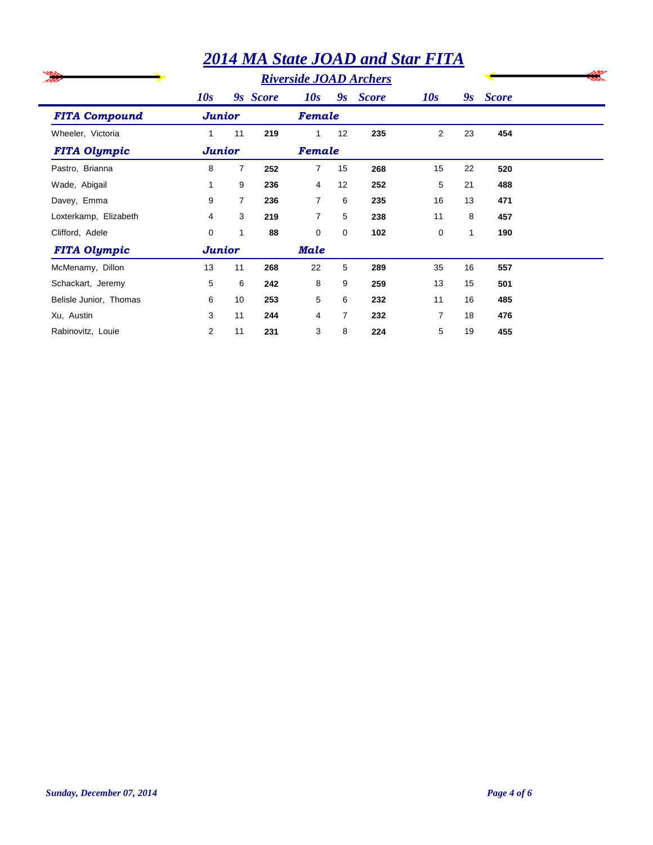|                        | <b>2014 MA State JOAD and Star FITA</b> |                |          |                |                |                               |                |    |              |  |  |
|------------------------|-----------------------------------------|----------------|----------|----------------|----------------|-------------------------------|----------------|----|--------------|--|--|
|                        |                                         |                |          |                |                | <b>Riverside JOAD Archers</b> |                |    |              |  |  |
|                        | 10s                                     |                | 9s Score | 10s            | 9s             | <b>Score</b>                  | 10s            | 9s | <b>Score</b> |  |  |
| <b>FITA Compound</b>   | <b>Junior</b>                           |                |          | Female         |                |                               |                |    |              |  |  |
| Wheeler, Victoria      | 1                                       | 11             | 219      | 1              | 12             | 235                           | $\overline{2}$ | 23 | 454          |  |  |
| <b>FITA Olympic</b>    | Junior                                  |                |          | Female         |                |                               |                |    |              |  |  |
| Pastro, Brianna        | 8                                       | $\overline{7}$ | 252      | $\overline{7}$ | 15             | 268                           | 15             | 22 | 520          |  |  |
| Wade, Abigail          | 1                                       | 9              | 236      | 4              | 12             | 252                           | 5              | 21 | 488          |  |  |
| Davey, Emma            | 9                                       | $\overline{7}$ | 236      | $\overline{7}$ | 6              | 235                           | 16             | 13 | 471          |  |  |
| Loxterkamp, Elizabeth  | 4                                       | 3              | 219      | $\overline{7}$ | 5              | 238                           | 11             | 8  | 457          |  |  |
| Clifford, Adele        | 0                                       | $\mathbf{1}$   | 88       | 0              | 0              | 102                           | 0              | 1  | 190          |  |  |
| <b>FITA Olympic</b>    | <b>Junior</b>                           |                |          | Male           |                |                               |                |    |              |  |  |
| McMenamy, Dillon       | 13                                      | 11             | 268      | 22             | 5              | 289                           | 35             | 16 | 557          |  |  |
| Schackart, Jeremy      | 5                                       | 6              | 242      | 8              | 9              | 259                           | 13             | 15 | 501          |  |  |
| Belisle Junior, Thomas | 6                                       | 10             | 253      | 5              | 6              | 232                           | 11             | 16 | 485          |  |  |
| Xu, Austin             | 3                                       | 11             | 244      | 4              | $\overline{7}$ | 232                           | 7              | 18 | 476          |  |  |
| Rabinovitz, Louie      | $\overline{2}$                          | 11             | 231      | 3              | 8              | 224                           | 5              | 19 | 455          |  |  |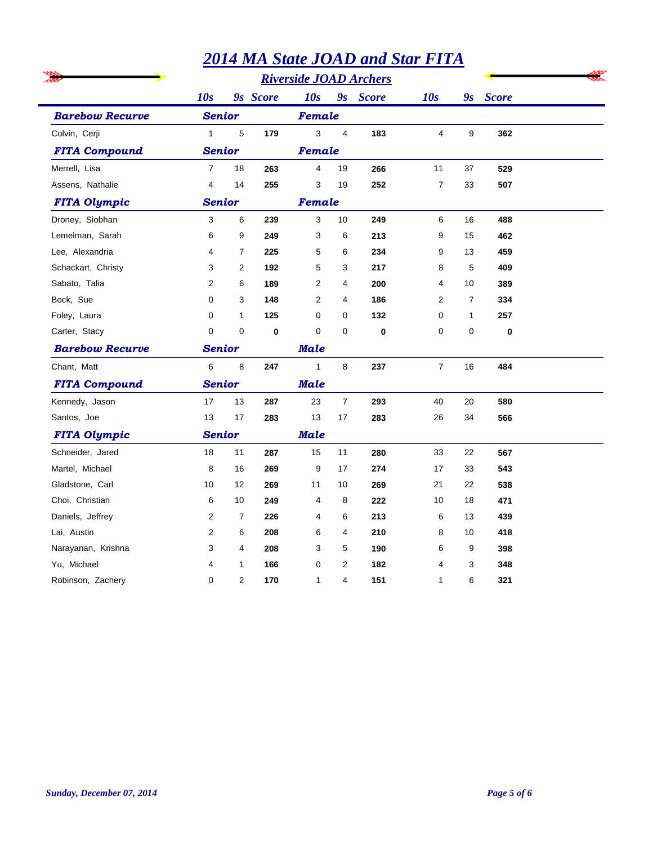|                        |                |                |          |                |                | <b>2014 MA State JOAD and Star FITA</b> |                |                |              |  |
|------------------------|----------------|----------------|----------|----------------|----------------|-----------------------------------------|----------------|----------------|--------------|--|
|                        |                |                |          |                |                |                                         |                |                |              |  |
|                        | 10s            |                | 9s Score | 10s            |                | 9s Score                                | 10s            | 9s             | <b>Score</b> |  |
| <b>Barebow Recurve</b> | <b>Senior</b>  |                |          | Female         |                |                                         |                |                |              |  |
| Colvin, Cerji          | $\mathbf{1}$   | $\sqrt{5}$     | 179      | 3              | $\overline{4}$ | 183                                     | 4              | 9              | 362          |  |
| <b>FITA Compound</b>   |                | <b>Senior</b>  |          |                | Female         |                                         |                |                |              |  |
| Merrell, Lisa          | $\overline{7}$ | 18             | 263      | $\overline{4}$ | 19             | 266                                     | 11             | 37             | 529          |  |
| Assens, Nathalie       | 4              | 14             | 255      | 3              | 19             | 252                                     | $\overline{7}$ | 33             | 507          |  |
| <b>FITA Olympic</b>    | Senior         |                |          | Female         |                |                                         |                |                |              |  |
| Droney, Siobhan        | 3              | 6              | 239      | 3              | 10             | 249                                     | 6              | 16             | 488          |  |
| Lemelman, Sarah        | 6              | 9              | 249      | 3              | 6              | 213                                     | 9              | 15             | 462          |  |
| Lee, Alexandria        | 4              | 7              | 225      | 5              | 6              | 234                                     | 9              | 13             | 459          |  |
| Schackart, Christy     | 3              | 2              | 192      | 5              | 3              | 217                                     | 8              | 5              | 409          |  |
| Sabato, Talia          | $\overline{2}$ | 6              | 189      | 2              | 4              | 200                                     | 4              | 10             | 389          |  |
| Bock, Sue              | 0              | 3              | 148      | 2              | $\overline{4}$ | 186                                     | $\overline{2}$ | $\overline{7}$ | 334          |  |
| Foley, Laura           | 0              | 1              | 125      | $\Omega$       | 0              | 132                                     | 0              | 1              | 257          |  |
| Carter, Stacy          | $\Omega$       | 0              | $\bf{0}$ | $\Omega$       | $\mathbf 0$    | $\bf{0}$                                | $\mathbf 0$    | 0              | $\bf{0}$     |  |
| <b>Barebow Recurve</b> | Senior         |                |          | Male           |                |                                         |                |                |              |  |
| Chant, Matt            | 6              | 8              | 247      | $\mathbf{1}$   | 8              | 237                                     | $\overline{7}$ | 16             | 484          |  |
| <b>FITA Compound</b>   | <b>Senior</b>  |                |          | <b>Male</b>    |                |                                         |                |                |              |  |
| Kennedy, Jason         | 17             | 13             | 287      | 23             | $\overline{7}$ | 293                                     | 40             | 20             | 580          |  |
| Santos, Joe            | 13             | 17             | 283      | 13             | 17             | 283                                     | 26             | 34             | 566          |  |
| <b>FITA Olympic</b>    | Senior         |                |          | <b>Male</b>    |                |                                         |                |                |              |  |
| Schneider, Jared       | 18             | 11             | 287      | 15             | 11             | 280                                     | 33             | 22             | 567          |  |
| Martel, Michael        | 8              | 16             | 269      | 9              | 17             | 274                                     | 17             | 33             | 543          |  |
| Gladstone, Carl        | 10             | 12             | 269      | 11             | 10             | 269                                     | 21             | 22             | 538          |  |
| Choi, Christian        | 6              | 10             | 249      | 4              | 8              | 222                                     | 10             | 18             | 471          |  |
| Daniels, Jeffrey       | 2              | 7              | 226      | 4              | 6              | 213                                     | 6              | 13             | 439          |  |
| Lai, Austin            | $\overline{2}$ | 6              | 208      | 6              | 4              | 210                                     | 8              | 10             | 418          |  |
| Narayanan, Krishna     | 3              | 4              | 208      | 3              | 5              | 190                                     | 6              | 9              | 398          |  |
| Yu, Michael            | 4              | $\mathbf 1$    | 166      | $\mathbf 0$    | $\overline{2}$ | 182                                     | 4              | 3              | 348          |  |
| Robinson, Zachery      | 0              | $\overline{2}$ | 170      | 1              | 4              | 151                                     | 1              | 6              | 321          |  |